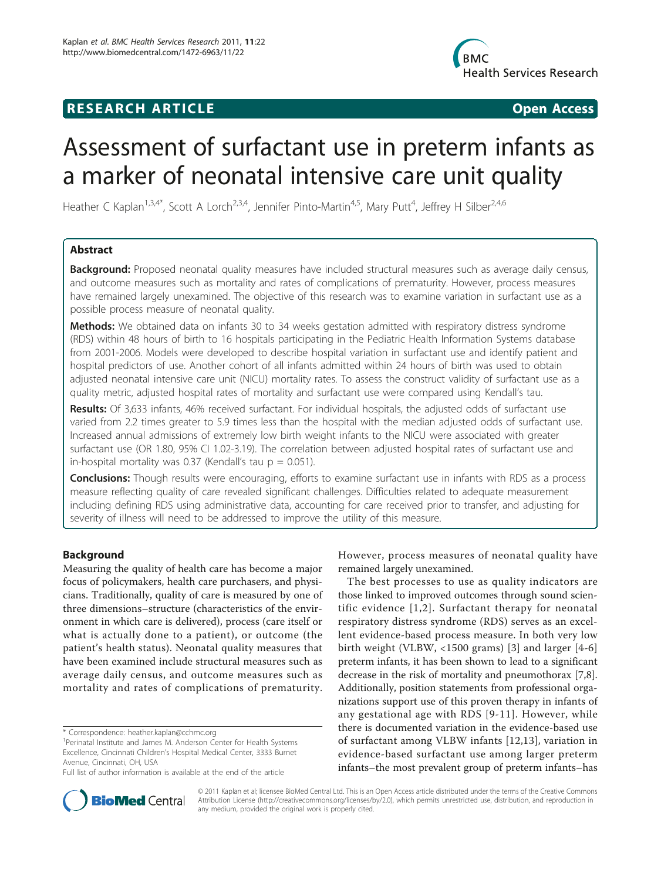# **RESEARCH ARTICLE Example 2018 12:00 Open Access**



# Assessment of surfactant use in preterm infants as a marker of neonatal intensive care unit quality

Heather C Kaplan<sup>1,3,4\*</sup>, Scott A Lorch<sup>2,3,4</sup>, Jennifer Pinto-Martin<sup>4,5</sup>, Mary Putt<sup>4</sup>, Jeffrey H Silber<sup>2,4,6</sup>

# Abstract

Background: Proposed neonatal quality measures have included structural measures such as average daily census, and outcome measures such as mortality and rates of complications of prematurity. However, process measures have remained largely unexamined. The objective of this research was to examine variation in surfactant use as a possible process measure of neonatal quality.

Methods: We obtained data on infants 30 to 34 weeks gestation admitted with respiratory distress syndrome (RDS) within 48 hours of birth to 16 hospitals participating in the Pediatric Health Information Systems database from 2001-2006. Models were developed to describe hospital variation in surfactant use and identify patient and hospital predictors of use. Another cohort of all infants admitted within 24 hours of birth was used to obtain adjusted neonatal intensive care unit (NICU) mortality rates. To assess the construct validity of surfactant use as a quality metric, adjusted hospital rates of mortality and surfactant use were compared using Kendall's tau.

Results: Of 3,633 infants, 46% received surfactant. For individual hospitals, the adjusted odds of surfactant use varied from 2.2 times greater to 5.9 times less than the hospital with the median adjusted odds of surfactant use. Increased annual admissions of extremely low birth weight infants to the NICU were associated with greater surfactant use (OR 1.80, 95% CI 1.02-3.19). The correlation between adjusted hospital rates of surfactant use and in-hospital mortality was 0.37 (Kendall's tau  $p = 0.051$ ).

**Conclusions:** Though results were encouraging, efforts to examine surfactant use in infants with RDS as a process measure reflecting quality of care revealed significant challenges. Difficulties related to adequate measurement including defining RDS using administrative data, accounting for care received prior to transfer, and adjusting for severity of illness will need to be addressed to improve the utility of this measure.

# Background

Measuring the quality of health care has become a major focus of policymakers, health care purchasers, and physicians. Traditionally, quality of care is measured by one of three dimensions–structure (characteristics of the environment in which care is delivered), process (care itself or what is actually done to a patient), or outcome (the patient's health status). Neonatal quality measures that have been examined include structural measures such as average daily census, and outcome measures such as mortality and rates of complications of prematurity.

\* Correspondence: [heather.kaplan@cchmc.org](mailto:heather.kaplan@cchmc.org)



The best processes to use as quality indicators are those linked to improved outcomes through sound scientific evidence [[1](#page-7-0),[2](#page-7-0)]. Surfactant therapy for neonatal respiratory distress syndrome (RDS) serves as an excellent evidence-based process measure. In both very low birth weight (VLBW, <1500 grams) [[3\]](#page-7-0) and larger [[4-6](#page-7-0)] preterm infants, it has been shown to lead to a significant decrease in the risk of mortality and pneumothorax [\[7,8](#page-7-0)]. Additionally, position statements from professional organizations support use of this proven therapy in infants of any gestational age with RDS [[9](#page-7-0)-[11](#page-7-0)]. However, while there is documented variation in the evidence-based use of surfactant among VLBW infants [[12](#page-7-0),[13\]](#page-7-0), variation in evidence-based surfactant use among larger preterm infants–the most prevalent group of preterm infants–has



© 2011 Kaplan et al; licensee BioMed Central Ltd. This is an Open Access article distributed under the terms of the Creative Commons Attribution License [\(http://creativecommons.org/licenses/by/2.0](http://creativecommons.org/licenses/by/2.0)), which permits unrestricted use, distribution, and reproduction in any medium, provided the original work is properly cited.

<sup>&</sup>lt;sup>1</sup> Perinatal Institute and James M. Anderson Center for Health Systems Excellence, Cincinnati Children's Hospital Medical Center, 3333 Burnet Avenue, Cincinnati, OH, USA

Full list of author information is available at the end of the article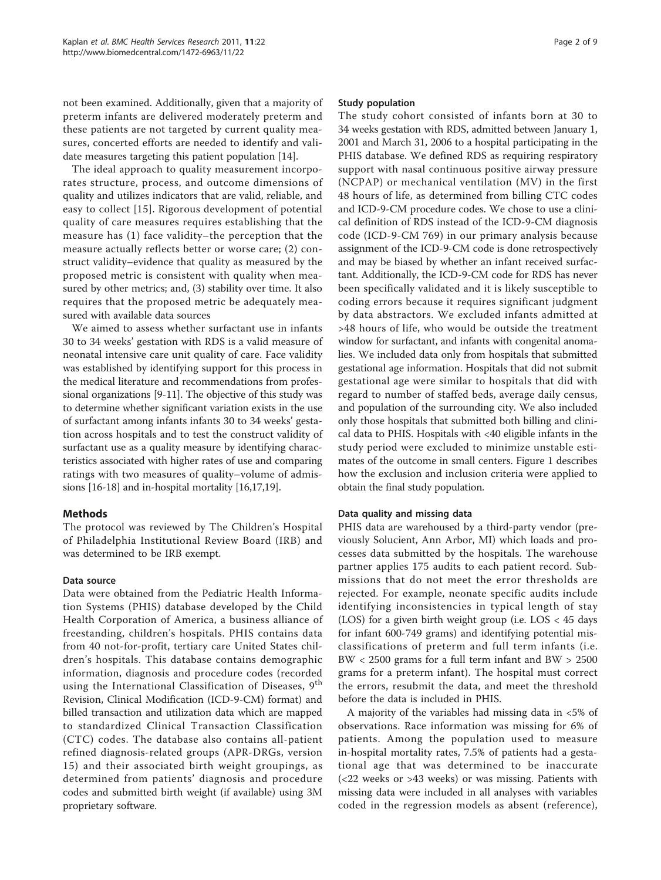not been examined. Additionally, given that a majority of preterm infants are delivered moderately preterm and these patients are not targeted by current quality measures, concerted efforts are needed to identify and validate measures targeting this patient population [[14\]](#page-7-0).

The ideal approach to quality measurement incorporates structure, process, and outcome dimensions of quality and utilizes indicators that are valid, reliable, and easy to collect [[15\]](#page-7-0). Rigorous development of potential quality of care measures requires establishing that the measure has (1) face validity–the perception that the measure actually reflects better or worse care; (2) construct validity–evidence that quality as measured by the proposed metric is consistent with quality when measured by other metrics; and, (3) stability over time. It also requires that the proposed metric be adequately measured with available data sources

We aimed to assess whether surfactant use in infants 30 to 34 weeks' gestation with RDS is a valid measure of neonatal intensive care unit quality of care. Face validity was established by identifying support for this process in the medical literature and recommendations from professional organizations [[9](#page-7-0)-[11\]](#page-7-0). The objective of this study was to determine whether significant variation exists in the use of surfactant among infants infants 30 to 34 weeks' gestation across hospitals and to test the construct validity of surfactant use as a quality measure by identifying characteristics associated with higher rates of use and comparing ratings with two measures of quality–volume of admissions [[16](#page-7-0)-[18](#page-8-0)] and in-hospital mortality [\[16,17](#page-7-0),[19](#page-8-0)].

# Methods

The protocol was reviewed by The Children's Hospital of Philadelphia Institutional Review Board (IRB) and was determined to be IRB exempt.

### Data source

Data were obtained from the Pediatric Health Information Systems (PHIS) database developed by the Child Health Corporation of America, a business alliance of freestanding, children's hospitals. PHIS contains data from 40 not-for-profit, tertiary care United States children's hospitals. This database contains demographic information, diagnosis and procedure codes (recorded using the International Classification of Diseases, 9<sup>th</sup> Revision, Clinical Modification (ICD-9-CM) format) and billed transaction and utilization data which are mapped to standardized Clinical Transaction Classification (CTC) codes. The database also contains all-patient refined diagnosis-related groups (APR-DRGs, version 15) and their associated birth weight groupings, as determined from patients' diagnosis and procedure codes and submitted birth weight (if available) using 3M proprietary software.

#### Study population

The study cohort consisted of infants born at 30 to 34 weeks gestation with RDS, admitted between January 1, 2001 and March 31, 2006 to a hospital participating in the PHIS database. We defined RDS as requiring respiratory support with nasal continuous positive airway pressure (NCPAP) or mechanical ventilation (MV) in the first 48 hours of life, as determined from billing CTC codes and ICD-9-CM procedure codes. We chose to use a clinical definition of RDS instead of the ICD-9-CM diagnosis code (ICD-9-CM 769) in our primary analysis because assignment of the ICD-9-CM code is done retrospectively and may be biased by whether an infant received surfactant. Additionally, the ICD-9-CM code for RDS has never been specifically validated and it is likely susceptible to coding errors because it requires significant judgment by data abstractors. We excluded infants admitted at >48 hours of life, who would be outside the treatment window for surfactant, and infants with congenital anomalies. We included data only from hospitals that submitted gestational age information. Hospitals that did not submit gestational age were similar to hospitals that did with regard to number of staffed beds, average daily census, and population of the surrounding city. We also included only those hospitals that submitted both billing and clinical data to PHIS. Hospitals with <40 eligible infants in the study period were excluded to minimize unstable estimates of the outcome in small centers. Figure [1](#page-2-0) describes how the exclusion and inclusion criteria were applied to obtain the final study population.

### Data quality and missing data

PHIS data are warehoused by a third-party vendor (previously Solucient, Ann Arbor, MI) which loads and processes data submitted by the hospitals. The warehouse partner applies 175 audits to each patient record. Submissions that do not meet the error thresholds are rejected. For example, neonate specific audits include identifying inconsistencies in typical length of stay (LOS) for a given birth weight group (i.e. LOS < 45 days for infant 600-749 grams) and identifying potential misclassifications of preterm and full term infants (i.e. BW < 2500 grams for a full term infant and BW > 2500 grams for a preterm infant). The hospital must correct the errors, resubmit the data, and meet the threshold before the data is included in PHIS.

A majority of the variables had missing data in <5% of observations. Race information was missing for 6% of patients. Among the population used to measure in-hospital mortality rates, 7.5% of patients had a gestational age that was determined to be inaccurate (<22 weeks or >43 weeks) or was missing. Patients with missing data were included in all analyses with variables coded in the regression models as absent (reference),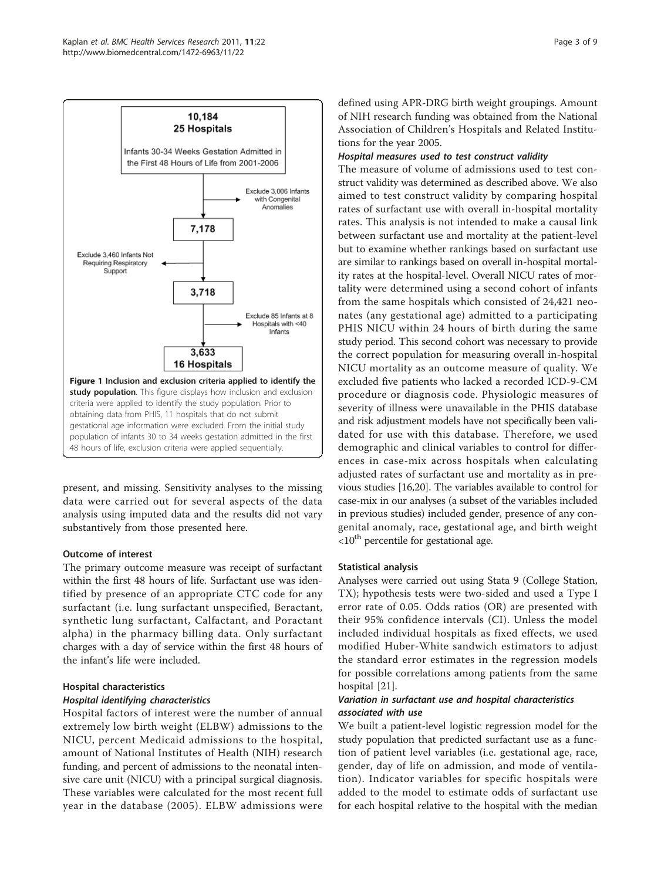<span id="page-2-0"></span>

present, and missing. Sensitivity analyses to the missing data were carried out for several aspects of the data analysis using imputed data and the results did not vary substantively from those presented here.

# Outcome of interest

The primary outcome measure was receipt of surfactant within the first 48 hours of life. Surfactant use was identified by presence of an appropriate CTC code for any surfactant (i.e. lung surfactant unspecified, Beractant, synthetic lung surfactant, Calfactant, and Poractant alpha) in the pharmacy billing data. Only surfactant charges with a day of service within the first 48 hours of the infant's life were included.

### Hospital characteristics

### Hospital identifying characteristics

Hospital factors of interest were the number of annual extremely low birth weight (ELBW) admissions to the NICU, percent Medicaid admissions to the hospital, amount of National Institutes of Health (NIH) research funding, and percent of admissions to the neonatal intensive care unit (NICU) with a principal surgical diagnosis. These variables were calculated for the most recent full year in the database (2005). ELBW admissions were defined using APR-DRG birth weight groupings. Amount of NIH research funding was obtained from the National Association of Children's Hospitals and Related Institutions for the year 2005.

# Hospital measures used to test construct validity

The measure of volume of admissions used to test construct validity was determined as described above. We also aimed to test construct validity by comparing hospital rates of surfactant use with overall in-hospital mortality rates. This analysis is not intended to make a causal link between surfactant use and mortality at the patient-level but to examine whether rankings based on surfactant use are similar to rankings based on overall in-hospital mortality rates at the hospital-level. Overall NICU rates of mortality were determined using a second cohort of infants from the same hospitals which consisted of 24,421 neonates (any gestational age) admitted to a participating PHIS NICU within 24 hours of birth during the same study period. This second cohort was necessary to provide the correct population for measuring overall in-hospital NICU mortality as an outcome measure of quality. We excluded five patients who lacked a recorded ICD-9-CM procedure or diagnosis code. Physiologic measures of severity of illness were unavailable in the PHIS database and risk adjustment models have not specifically been validated for use with this database. Therefore, we used demographic and clinical variables to control for differences in case-mix across hospitals when calculating adjusted rates of surfactant use and mortality as in previous studies [\[16,](#page-7-0)[20](#page-8-0)]. The variables available to control for case-mix in our analyses (a subset of the variables included in previous studies) included gender, presence of any congenital anomaly, race, gestational age, and birth weight  $\langle 10^{th}$  percentile for gestational age.

### Statistical analysis

Analyses were carried out using Stata 9 (College Station, TX); hypothesis tests were two-sided and used a Type I error rate of 0.05. Odds ratios (OR) are presented with their 95% confidence intervals (CI). Unless the model included individual hospitals as fixed effects, we used modified Huber-White sandwich estimators to adjust the standard error estimates in the regression models for possible correlations among patients from the same hospital [\[21\]](#page-8-0).

# Variation in surfactant use and hospital characteristics associated with use

We built a patient-level logistic regression model for the study population that predicted surfactant use as a function of patient level variables (i.e. gestational age, race, gender, day of life on admission, and mode of ventilation). Indicator variables for specific hospitals were added to the model to estimate odds of surfactant use for each hospital relative to the hospital with the median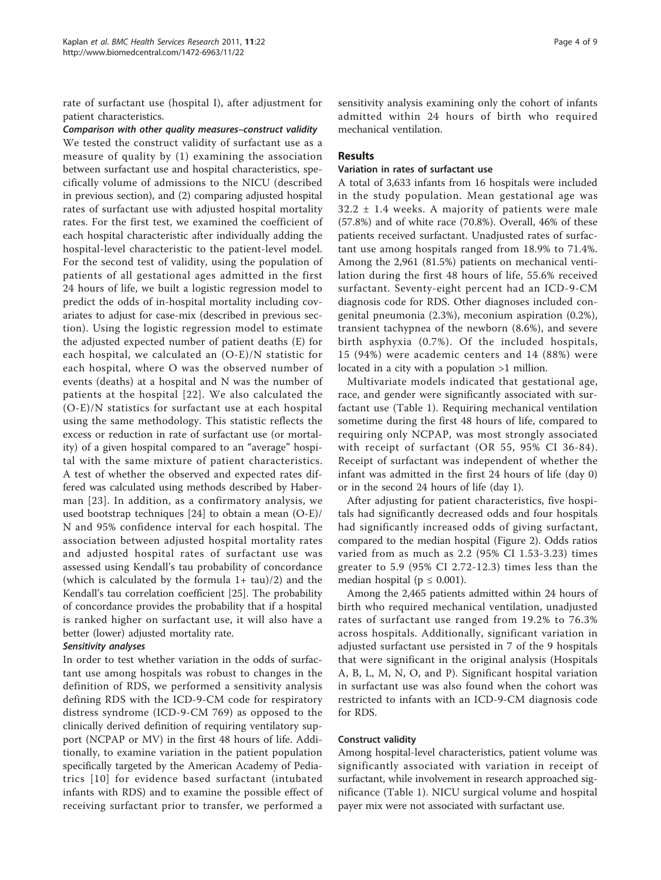rate of surfactant use (hospital I), after adjustment for patient characteristics.

Comparison with other quality measures–construct validity We tested the construct validity of surfactant use as a measure of quality by (1) examining the association between surfactant use and hospital characteristics, specifically volume of admissions to the NICU (described in previous section), and (2) comparing adjusted hospital rates of surfactant use with adjusted hospital mortality rates. For the first test, we examined the coefficient of each hospital characteristic after individually adding the hospital-level characteristic to the patient-level model. For the second test of validity, using the population of patients of all gestational ages admitted in the first 24 hours of life, we built a logistic regression model to predict the odds of in-hospital mortality including covariates to adjust for case-mix (described in previous section). Using the logistic regression model to estimate the adjusted expected number of patient deaths (E) for each hospital, we calculated an (O-E)/N statistic for each hospital, where O was the observed number of events (deaths) at a hospital and N was the number of patients at the hospital [[22\]](#page-8-0). We also calculated the (O-E)/N statistics for surfactant use at each hospital using the same methodology. This statistic reflects the excess or reduction in rate of surfactant use (or mortality) of a given hospital compared to an "average" hospital with the same mixture of patient characteristics. A test of whether the observed and expected rates differed was calculated using methods described by Haberman [[23](#page-8-0)]. In addition, as a confirmatory analysis, we used bootstrap techniques [\[24](#page-8-0)] to obtain a mean (O-E)/ N and 95% confidence interval for each hospital. The association between adjusted hospital mortality rates and adjusted hospital rates of surfactant use was assessed using Kendall's tau probability of concordance (which is calculated by the formula  $1+ \tan(2)$  and the Kendall's tau correlation coefficient [[25\]](#page-8-0). The probability of concordance provides the probability that if a hospital is ranked higher on surfactant use, it will also have a better (lower) adjusted mortality rate.

## Sensitivity analyses

In order to test whether variation in the odds of surfactant use among hospitals was robust to changes in the definition of RDS, we performed a sensitivity analysis defining RDS with the ICD-9-CM code for respiratory distress syndrome (ICD-9-CM 769) as opposed to the clinically derived definition of requiring ventilatory support (NCPAP or MV) in the first 48 hours of life. Additionally, to examine variation in the patient population specifically targeted by the American Academy of Pediatrics [[10\]](#page-7-0) for evidence based surfactant (intubated infants with RDS) and to examine the possible effect of receiving surfactant prior to transfer, we performed a sensitivity analysis examining only the cohort of infants admitted within 24 hours of birth who required mechanical ventilation.

# Results

## Variation in rates of surfactant use

A total of 3,633 infants from 16 hospitals were included in the study population. Mean gestational age was  $32.2 \pm 1.4$  weeks. A majority of patients were male (57.8%) and of white race (70.8%). Overall, 46% of these patients received surfactant. Unadjusted rates of surfactant use among hospitals ranged from 18.9% to 71.4%. Among the 2,961 (81.5%) patients on mechanical ventilation during the first 48 hours of life, 55.6% received surfactant. Seventy-eight percent had an ICD-9-CM diagnosis code for RDS. Other diagnoses included congenital pneumonia (2.3%), meconium aspiration (0.2%), transient tachypnea of the newborn (8.6%), and severe birth asphyxia (0.7%). Of the included hospitals, 15 (94%) were academic centers and 14 (88%) were located in a city with a population >1 million.

Multivariate models indicated that gestational age, race, and gender were significantly associated with surfactant use (Table [1\)](#page-4-0). Requiring mechanical ventilation sometime during the first 48 hours of life, compared to requiring only NCPAP, was most strongly associated with receipt of surfactant (OR 55, 95% CI 36-84). Receipt of surfactant was independent of whether the infant was admitted in the first 24 hours of life (day 0) or in the second 24 hours of life (day 1).

After adjusting for patient characteristics, five hospitals had significantly decreased odds and four hospitals had significantly increased odds of giving surfactant, compared to the median hospital (Figure [2](#page-5-0)). Odds ratios varied from as much as 2.2 (95% CI 1.53-3.23) times greater to 5.9 (95% CI 2.72-12.3) times less than the median hospital ( $p \leq 0.001$ ).

Among the 2,465 patients admitted within 24 hours of birth who required mechanical ventilation, unadjusted rates of surfactant use ranged from 19.2% to 76.3% across hospitals. Additionally, significant variation in adjusted surfactant use persisted in 7 of the 9 hospitals that were significant in the original analysis (Hospitals A, B, L, M, N, O, and P). Significant hospital variation in surfactant use was also found when the cohort was restricted to infants with an ICD-9-CM diagnosis code for RDS.

# Construct validity

Among hospital-level characteristics, patient volume was significantly associated with variation in receipt of surfactant, while involvement in research approached significance (Table [1\)](#page-4-0). NICU surgical volume and hospital payer mix were not associated with surfactant use.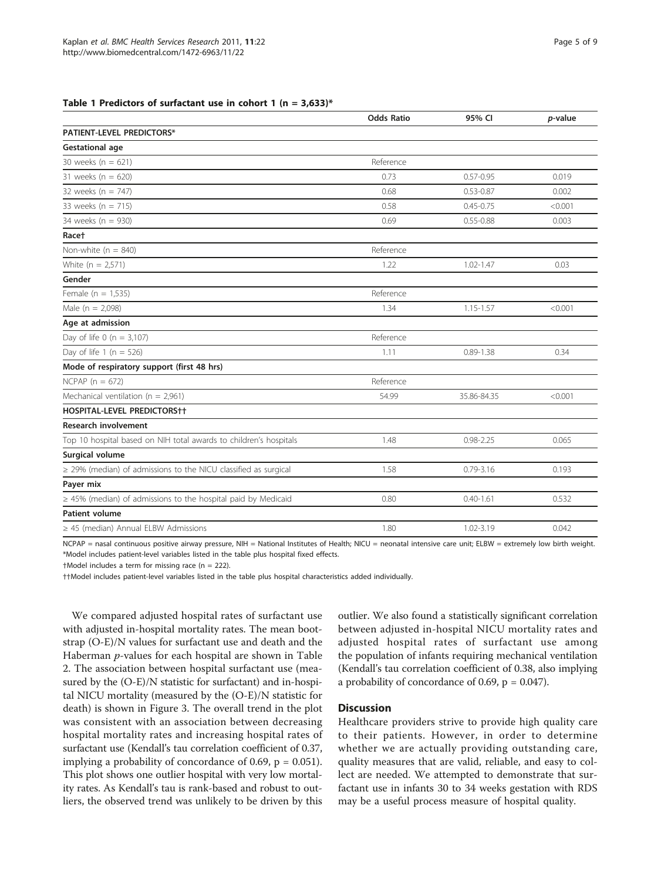#### <span id="page-4-0"></span>Table 1 Predictors of surfactant use in cohort 1 (n = 3,633)\*

|                                                                    | <b>Odds Ratio</b> | 95% CI        | p-value |
|--------------------------------------------------------------------|-------------------|---------------|---------|
| PATIENT-LEVEL PREDICTORS*                                          |                   |               |         |
| <b>Gestational age</b>                                             |                   |               |         |
| 30 weeks ( $n = 621$ )                                             | Reference         |               |         |
| 31 weeks ( $n = 620$ )                                             | 0.73              | $0.57 - 0.95$ | 0.019   |
| 32 weeks ( $n = 747$ )                                             | 0.68              | $0.53 - 0.87$ | 0.002   |
| 33 weeks ( $n = 715$ )                                             | 0.58              | $0.45 - 0.75$ | < 0.001 |
| 34 weeks (n = 930)                                                 | 0.69              | $0.55 - 0.88$ | 0.003   |
| Race <sup>+</sup>                                                  |                   |               |         |
| Non-white ( $n = 840$ )                                            | Reference         |               |         |
| White $(n = 2,571)$                                                | 1.22              | $1.02 - 1.47$ | 0.03    |
| Gender                                                             |                   |               |         |
| Female $(n = 1.535)$                                               | Reference         |               |         |
| Male ( $n = 2,098$ )                                               | 1.34              | $1.15 - 1.57$ | < 0.001 |
| Age at admission                                                   |                   |               |         |
| Day of life 0 ( $n = 3,107$ )                                      | Reference         |               |         |
| Day of life $1 (n = 526)$                                          | 1.11              | $0.89 - 1.38$ | 0.34    |
| Mode of respiratory support (first 48 hrs)                         |                   |               |         |
| NCPAP $(n = 672)$                                                  | Reference         |               |         |
| Mechanical ventilation ( $n = 2,961$ )                             | 54.99             | 35.86-84.35   | < 0.001 |
| HOSPITAL-LEVEL PREDICTORS++                                        |                   |               |         |
| <b>Research involvement</b>                                        |                   |               |         |
| Top 10 hospital based on NIH total awards to children's hospitals  | 1.48              | $0.98 - 2.25$ | 0.065   |
| Surgical volume                                                    |                   |               |         |
| ≥ 29% (median) of admissions to the NICU classified as surgical    | 1.58              | $0.79 - 3.16$ | 0.193   |
| Payer mix                                                          |                   |               |         |
| $\geq$ 45% (median) of admissions to the hospital paid by Medicaid | 0.80              | $0.40 - 1.61$ | 0.532   |
| <b>Patient volume</b>                                              |                   |               |         |
| $\geq$ 45 (median) Annual ELBW Admissions                          | 1.80              | 1.02-3.19     | 0.042   |

NCPAP = nasal continuous positive airway pressure, NIH = National Institutes of Health; NICU = neonatal intensive care unit; ELBW = extremely low birth weight. \*Model includes patient-level variables listed in the table plus hospital fixed effects.

†Model includes a term for missing race (n = 222).

††Model includes patient-level variables listed in the table plus hospital characteristics added individually.

We compared adjusted hospital rates of surfactant use with adjusted in-hospital mortality rates. The mean bootstrap (O-E)/N values for surfactant use and death and the Haberman p-values for each hospital are shown in Table [2.](#page-5-0) The association between hospital surfactant use (measured by the (O-E)/N statistic for surfactant) and in-hospital NICU mortality (measured by the (O-E)/N statistic for death) is shown in Figure [3.](#page-6-0) The overall trend in the plot was consistent with an association between decreasing hospital mortality rates and increasing hospital rates of surfactant use (Kendall's tau correlation coefficient of 0.37, implying a probability of concordance of 0.69,  $p = 0.051$ ). This plot shows one outlier hospital with very low mortality rates. As Kendall's tau is rank-based and robust to outliers, the observed trend was unlikely to be driven by this

outlier. We also found a statistically significant correlation between adjusted in-hospital NICU mortality rates and adjusted hospital rates of surfactant use among the population of infants requiring mechanical ventilation (Kendall's tau correlation coefficient of 0.38, also implying a probability of concordance of 0.69,  $p = 0.047$ ).

### **Discussion**

Healthcare providers strive to provide high quality care to their patients. However, in order to determine whether we are actually providing outstanding care, quality measures that are valid, reliable, and easy to collect are needed. We attempted to demonstrate that surfactant use in infants 30 to 34 weeks gestation with RDS may be a useful process measure of hospital quality.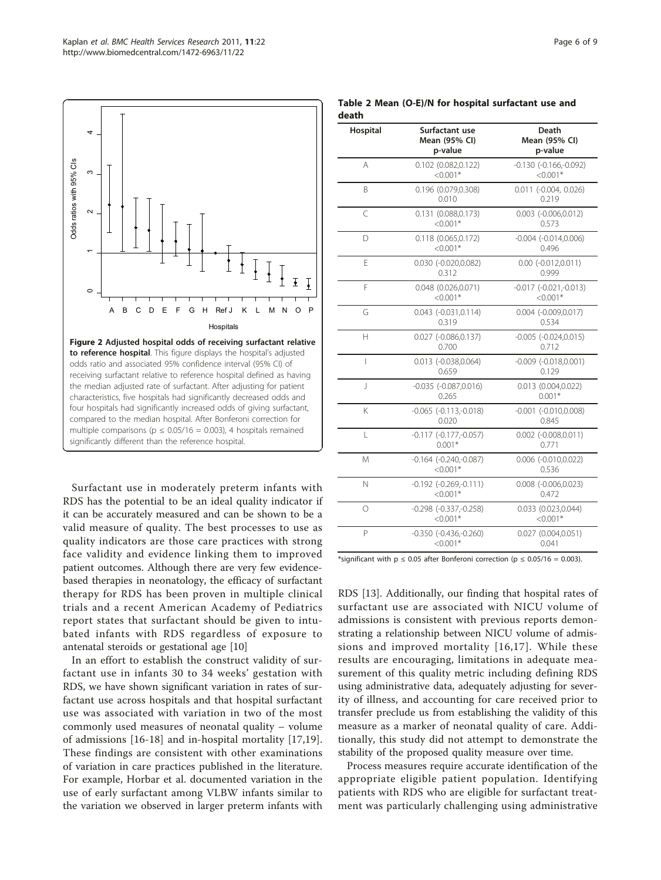<span id="page-5-0"></span>01234

 $\sim$ 

 $\mathfrak{g}$ 

Odds ratios with 95% CIs

Odds ratios with 95% Cls

Surfactant use in moderately preterm infants with RDS has the potential to be an ideal quality indicator if it can be accurately measured and can be shown to be a valid measure of quality. The best processes to use as quality indicators are those care practices with strong face validity and evidence linking them to improved patient outcomes. Although there are very few evidencebased therapies in neonatology, the efficacy of surfactant therapy for RDS has been proven in multiple clinical trials and a recent American Academy of Pediatrics report states that surfactant should be given to intubated infants with RDS regardless of exposure to antenatal steroids or gestational age [\[10](#page-7-0)]

**Hospitals** 

A B C D E F G H Ref J K L M N O P

Figure 2 Adjusted hospital odds of receiving surfactant relative to reference hospital. This figure displays the hospital's adjusted odds ratio and associated 95% confidence interval (95% CI) of receiving surfactant relative to reference hospital defined as having the median adjusted rate of surfactant. After adjusting for patient characteristics, five hospitals had significantly decreased odds and four hospitals had significantly increased odds of giving surfactant, compared to the median hospital. After Bonferoni correction for multiple comparisons ( $p \le 0.05/16 = 0.003$ ), 4 hospitals remained

significantly different than the reference hospital.

In an effort to establish the construct validity of surfactant use in infants 30 to 34 weeks' gestation with RDS, we have shown significant variation in rates of surfactant use across hospitals and that hospital surfactant use was associated with variation in two of the most commonly used measures of neonatal quality – volume of admissions [[16](#page-7-0)[-18](#page-8-0)] and in-hospital mortality [[17,](#page-7-0)[19](#page-8-0)]. These findings are consistent with other examinations of variation in care practices published in the literature. For example, Horbar et al. documented variation in the use of early surfactant among VLBW infants similar to the variation we observed in larger preterm infants with

|       |  |  | Table 2 Mean (O-E)/N for hospital surfactant use and |  |
|-------|--|--|------------------------------------------------------|--|
| death |  |  |                                                      |  |

| Hospital                 | Surfactant use<br>Mean (95% CI)<br>p-value | Death<br>Mean (95% CI)<br>p-value        |
|--------------------------|--------------------------------------------|------------------------------------------|
| A                        | $0.102$ $(0.082, 0.122)$<br>$< 0.001*$     | $-0.130$ $(-0.166,-0.092)$<br>$< 0.001*$ |
| B                        | 0.196 (0.079,0.308)<br>0.010               | $0.011$ ( $-0.004$ , $0.026$ )<br>0.219  |
| C                        | 0.131 (0.088,0.173)<br>$< 0.001*$          | $0.003$ $(-0.006, 0.012)$<br>0.573       |
| D                        | 0.118 (0.065,0.172)<br>$< 0.001*$          | $-0.004$ $(-0.014, 0.006)$<br>0.496      |
| E                        | $0.030(-0.020,0.082)$<br>0.312             | $0.00$ $(-0.012,0.011)$<br>0.999         |
| F                        | 0.048 (0.026,0.071)<br>$< 0.001*$          | $-0.017$ $(-0.021,-0.013)$<br>$< 0.001*$ |
| G                        | $0.043$ $(-0.031, 0.114)$<br>0.319         | $0.004$ $(-0.009, 0.017)$<br>0.534       |
| н                        | $0.027$ ( $-0.086, 0.137$ )<br>0.700       | $-0.005$ $(-0.024, 0.015)$<br>0.712      |
| $\overline{\phantom{a}}$ | $0.013$ ( $-0.038, 0.064$ )<br>0.659       | $-0.009$ $(-0.018, 0.001)$<br>0.129      |
| J                        | $-0.035$ $(-0.087, 0.016)$<br>0.265        | 0.013 (0.004,0.022)<br>$0.001*$          |
| K                        | $-0.065$ $(-0.113,-0.018)$<br>0.020        | $-0.001$ $(-0.010, 0.008)$<br>0.845      |
| L                        | $-0.117(-0.177,-0.057)$<br>$0.001*$        | $0.002$ ( $-0.008, 0.011$ )<br>0.771     |
| M                        | $-0.164$ $(-0.240,-0.087)$<br>$< 0.001*$   | $0.006$ ( $-0.010, 0.022$ )<br>0.536     |
| N                        | $-0.192$ $(-0.269,-0.111)$<br>$< 0.001*$   | $0.008$ $(-0.006, 0.023)$<br>0.472       |
| Ω                        | $-0.298$ $(-0.337,-0.258)$<br>$< 0.001*$   | 0.033 (0.023,0.044)<br>$< 0.001*$        |
| P                        | $-0.350$ $(-0.436,-0.260)$<br>$< 0.001*$   | 0.027 (0.004,0.051)<br>0.041             |

\*significant with  $p \le 0.05$  after Bonferoni correction ( $p \le 0.05/16 = 0.003$ ).

RDS [\[13](#page-7-0)]. Additionally, our finding that hospital rates of surfactant use are associated with NICU volume of admissions is consistent with previous reports demonstrating a relationship between NICU volume of admissions and improved mortality [[16](#page-7-0),[17](#page-7-0)]. While these results are encouraging, limitations in adequate measurement of this quality metric including defining RDS using administrative data, adequately adjusting for severity of illness, and accounting for care received prior to transfer preclude us from establishing the validity of this measure as a marker of neonatal quality of care. Additionally, this study did not attempt to demonstrate the stability of the proposed quality measure over time.

Process measures require accurate identification of the appropriate eligible patient population. Identifying patients with RDS who are eligible for surfactant treatment was particularly challenging using administrative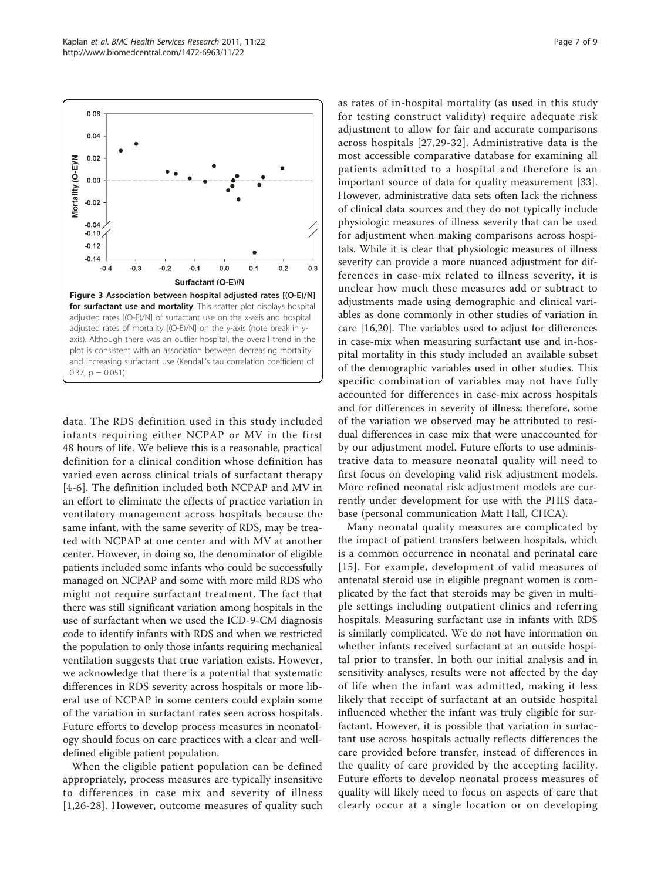<span id="page-6-0"></span>

data. The RDS definition used in this study included infants requiring either NCPAP or MV in the first 48 hours of life. We believe this is a reasonable, practical definition for a clinical condition whose definition has varied even across clinical trials of surfactant therapy [[4](#page-7-0)-[6](#page-7-0)]. The definition included both NCPAP and MV in an effort to eliminate the effects of practice variation in ventilatory management across hospitals because the same infant, with the same severity of RDS, may be treated with NCPAP at one center and with MV at another center. However, in doing so, the denominator of eligible patients included some infants who could be successfully managed on NCPAP and some with more mild RDS who might not require surfactant treatment. The fact that there was still significant variation among hospitals in the use of surfactant when we used the ICD-9-CM diagnosis code to identify infants with RDS and when we restricted the population to only those infants requiring mechanical ventilation suggests that true variation exists. However, we acknowledge that there is a potential that systematic differences in RDS severity across hospitals or more liberal use of NCPAP in some centers could explain some of the variation in surfactant rates seen across hospitals. Future efforts to develop process measures in neonatology should focus on care practices with a clear and welldefined eligible patient population.

When the eligible patient population can be defined appropriately, process measures are typically insensitive to differences in case mix and severity of illness [[1](#page-7-0)[,26-28\]](#page-8-0). However, outcome measures of quality such as rates of in-hospital mortality (as used in this study for testing construct validity) require adequate risk adjustment to allow for fair and accurate comparisons across hospitals [[27,29-32\]](#page-8-0). Administrative data is the most accessible comparative database for examining all patients admitted to a hospital and therefore is an important source of data for quality measurement [\[33](#page-8-0)]. However, administrative data sets often lack the richness of clinical data sources and they do not typically include physiologic measures of illness severity that can be used for adjustment when making comparisons across hospitals. While it is clear that physiologic measures of illness severity can provide a more nuanced adjustment for differences in case-mix related to illness severity, it is unclear how much these measures add or subtract to adjustments made using demographic and clinical variables as done commonly in other studies of variation in care [\[16](#page-7-0)[,20](#page-8-0)]. The variables used to adjust for differences in case-mix when measuring surfactant use and in-hospital mortality in this study included an available subset of the demographic variables used in other studies. This specific combination of variables may not have fully accounted for differences in case-mix across hospitals and for differences in severity of illness; therefore, some of the variation we observed may be attributed to residual differences in case mix that were unaccounted for by our adjustment model. Future efforts to use administrative data to measure neonatal quality will need to first focus on developing valid risk adjustment models. More refined neonatal risk adjustment models are currently under development for use with the PHIS database (personal communication Matt Hall, CHCA).

Many neonatal quality measures are complicated by the impact of patient transfers between hospitals, which is a common occurrence in neonatal and perinatal care [[15\]](#page-7-0). For example, development of valid measures of antenatal steroid use in eligible pregnant women is complicated by the fact that steroids may be given in multiple settings including outpatient clinics and referring hospitals. Measuring surfactant use in infants with RDS is similarly complicated. We do not have information on whether infants received surfactant at an outside hospital prior to transfer. In both our initial analysis and in sensitivity analyses, results were not affected by the day of life when the infant was admitted, making it less likely that receipt of surfactant at an outside hospital influenced whether the infant was truly eligible for surfactant. However, it is possible that variation in surfactant use across hospitals actually reflects differences the care provided before transfer, instead of differences in the quality of care provided by the accepting facility. Future efforts to develop neonatal process measures of quality will likely need to focus on aspects of care that clearly occur at a single location or on developing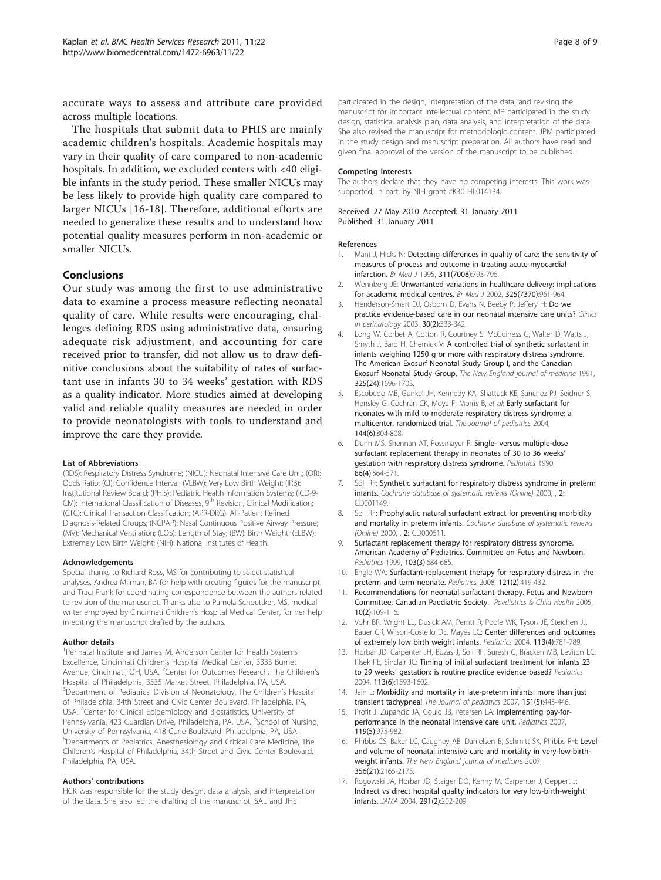<span id="page-7-0"></span>accurate ways to assess and attribute care provided across multiple locations.

The hospitals that submit data to PHIS are mainly academic children's hospitals. Academic hospitals may vary in their quality of care compared to non-academic hospitals. In addition, we excluded centers with <40 eligible infants in the study period. These smaller NICUs may be less likely to provide high quality care compared to larger NICUs [16[-18\]](#page-8-0). Therefore, additional efforts are needed to generalize these results and to understand how potential quality measures perform in non-academic or smaller NICUs.

### Conclusions

Our study was among the first to use administrative data to examine a process measure reflecting neonatal quality of care. While results were encouraging, challenges defining RDS using administrative data, ensuring adequate risk adjustment, and accounting for care received prior to transfer, did not allow us to draw definitive conclusions about the suitability of rates of surfactant use in infants 30 to 34 weeks' gestation with RDS as a quality indicator. More studies aimed at developing valid and reliable quality measures are needed in order to provide neonatologists with tools to understand and improve the care they provide.

#### List of Abbreviations

(RDS): Respiratory Distress Syndrome; (NICU): Neonatal Intensive Care Unit; (OR): Odds Ratio; (CI): Confidence Interval; (VLBW): Very Low Birth Weight; (IRB): Institutional Review Board; (PHIS): Pediatric Health Information Systems; (ICD-9- CM): International Classification of Diseases, 9<sup>th</sup> Revision, Clinical Modification; (CTC): Clinical Transaction Classification; (APR-DRG): All-Patient Refined Diagnosis-Related Groups; (NCPAP): Nasal Continuous Positive Airway Pressure; (MV): Mechanical Ventilation; (LOS): Length of Stay; (BW): Birth Weight; (ELBW): Extremely Low Birth Weight; (NIH): National Institutes of Health.

#### Acknowledgements

Special thanks to Richard Ross, MS for contributing to select statistical analyses, Andrea Milman, BA for help with creating figures for the manuscript, and Traci Frank for coordinating correspondence between the authors related to revision of the manuscript. Thanks also to Pamela Schoettker, MS, medical writer employed by Cincinnati Children's Hospital Medical Center, for her help in editing the manuscript drafted by the authors.

#### Author details

<sup>1</sup> Perinatal Institute and James M. Anderson Center for Health Systems Excellence, Cincinnati Children's Hospital Medical Center, 3333 Burnet Avenue, Cincinnati, OH, USA. <sup>2</sup>Center for Outcomes Research, The Children's Hospital of Philadelphia, 3535 Market Street, Philadelphia, PA, USA. <sup>3</sup>Department of Pediatrics, Division of Neonatology, The Children's Hospital of Philadelphia, 34th Street and Civic Center Boulevard, Philadelphia, PA, USA. <sup>4</sup>Center for Clinical Epidemiology and Biostatistics, University of Pennsylvania, 423 Guardian Drive, Philadelphia, PA, USA. <sup>5</sup>School of Nursing, University of Pennsylvania, 418 Curie Boulevard, Philadelphia, PA, USA. <sup>6</sup>Departments of Pediatrics, Anesthesiology and Critical Care Medicine, The Children's Hospital of Philadelphia, 34th Street and Civic Center Boulevard, Philadelphia, PA, USA.

#### Authors' contributions

HCK was responsible for the study design, data analysis, and interpretation of the data. She also led the drafting of the manuscript. SAL and JHS

participated in the design, interpretation of the data, and revising the manuscript for important intellectual content. MP participated in the study design, statistical analysis plan, data analysis, and interpretation of the data. She also revised the manuscript for methodologic content. JPM participated in the study design and manuscript preparation. All authors have read and given final approval of the version of the manuscript to be published.

#### Competing interests

The authors declare that they have no competing interests. This work was supported, in part, by NIH grant #K30 HL014134.

#### Received: 27 May 2010 Accepted: 31 January 2011 Published: 31 January 2011

#### References

- Mant J, Hicks N: Detecting differences in quality of care: the sensitivity of measures of process and outcome in treating acute myocardial infarction. Br Med J 1995, 311(7008):793-796.
- 2. Wennberg JE: Unwarranted variations in healthcare delivery: implications for academic medical centres. Br Med J 2002, 325(7370):961-964.
- 3. Henderson-Smart DJ, Osborn D, Evans N, Beeby P, Jeffery H: [Do we](http://www.ncbi.nlm.nih.gov/pubmed/12875357?dopt=Abstract) [practice evidence-based care in our neonatal intensive care units?](http://www.ncbi.nlm.nih.gov/pubmed/12875357?dopt=Abstract) Clinics in perinatology 2003, 30(2):333-342.
- 4. Long W, Corbet A, Cotton R, Courtney S, McGuiness G, Walter D, Watts J, Smyth J, Bard H, Chernick V: [A controlled trial of synthetic surfactant in](http://www.ncbi.nlm.nih.gov/pubmed/1944470?dopt=Abstract) [infants weighing 1250 g or more with respiratory distress syndrome.](http://www.ncbi.nlm.nih.gov/pubmed/1944470?dopt=Abstract) [The American Exosurf Neonatal Study Group I, and the Canadian](http://www.ncbi.nlm.nih.gov/pubmed/1944470?dopt=Abstract) [Exosurf Neonatal Study Group.](http://www.ncbi.nlm.nih.gov/pubmed/1944470?dopt=Abstract) The New England journal of medicine 1991, 325(24):1696-1703.
- 5. Escobedo MB, Gunkel JH, Kennedy KA, Shattuck KE, Sanchez PJ, Seidner S, Hensley G, Cochran CK, Moya F, Morris B, et al: [Early surfactant for](http://www.ncbi.nlm.nih.gov/pubmed/15192630?dopt=Abstract) [neonates with mild to moderate respiratory distress syndrome: a](http://www.ncbi.nlm.nih.gov/pubmed/15192630?dopt=Abstract) [multicenter, randomized trial.](http://www.ncbi.nlm.nih.gov/pubmed/15192630?dopt=Abstract) The Journal of pediatrics 2004, 144(6):804-808.
- 6. Dunn MS, Shennan AT, Possmayer F: [Single- versus multiple-dose](http://www.ncbi.nlm.nih.gov/pubmed/2216622?dopt=Abstract) [surfactant replacement therapy in neonates of 30 to 36 weeks](http://www.ncbi.nlm.nih.gov/pubmed/2216622?dopt=Abstract)' [gestation with respiratory distress syndrome.](http://www.ncbi.nlm.nih.gov/pubmed/2216622?dopt=Abstract) Pediatrics 1990, 86(4):564-571.
- 7. Soll RF: [Synthetic surfactant for respiratory distress syndrome in preterm](http://www.ncbi.nlm.nih.gov/pubmed/10796417?dopt=Abstract) [infants.](http://www.ncbi.nlm.nih.gov/pubmed/10796417?dopt=Abstract) Cochrane database of systematic reviews (Online) 2000, , 2: CD001149.
- Soll RF: [Prophylactic natural surfactant extract for preventing morbidity](http://www.ncbi.nlm.nih.gov/pubmed/10796380?dopt=Abstract) [and mortality in preterm infants.](http://www.ncbi.nlm.nih.gov/pubmed/10796380?dopt=Abstract) Cochrane database of systematic reviews (Online) 2000, , 2: CD000511.
- Surfactant replacement therapy for respiratory distress syndrome. American Academy of Pediatrics. Committee on Fetus and Newborn. Pediatrics 1999, 103(3):684-685.
- 10. Engle WA: [Surfactant-replacement therapy for respiratory distress in the](http://www.ncbi.nlm.nih.gov/pubmed/18245434?dopt=Abstract) [preterm and term neonate.](http://www.ncbi.nlm.nih.gov/pubmed/18245434?dopt=Abstract) Pediatrics 2008, 121(2):419-432.
- 11. Recommendations for neonatal surfactant therapy. Fetus and Newborn Committee, Canadian Paediatric Society. Paediatrics & Child Health 2005, 10(2):109-116.
- 12. Vohr BR, Wright LL, Dusick AM, Perritt R, Poole WK, Tyson JE, Steichen JJ, Bauer CR, Wilson-Costello DE, Mayes LC: [Center differences and outcomes](http://www.ncbi.nlm.nih.gov/pubmed/15060228?dopt=Abstract) [of extremely low birth weight infants.](http://www.ncbi.nlm.nih.gov/pubmed/15060228?dopt=Abstract) Pediatrics 2004, 113(4):781-789.
- 13. Horbar JD, Carpenter JH, Buzas J, Soll RF, Suresh G, Bracken MB, Leviton LC, Plsek PE, Sinclair JC: [Timing of initial surfactant treatment for infants 23](http://www.ncbi.nlm.nih.gov/pubmed/15173479?dopt=Abstract) to 29 weeks' [gestation: is routine practice evidence based?](http://www.ncbi.nlm.nih.gov/pubmed/15173479?dopt=Abstract) Pediatrics 2004, 113(6):1593-1602.
- 14. Jain L: [Morbidity and mortality in late-preterm infants: more than just](http://www.ncbi.nlm.nih.gov/pubmed/17961681?dopt=Abstract) [transient tachypnea!](http://www.ncbi.nlm.nih.gov/pubmed/17961681?dopt=Abstract) The Journal of pediatrics 2007, 151(5):445-446.
- 15. Profit J, Zupancic JA, Gould JB, Petersen LA: [Implementing pay-for](http://www.ncbi.nlm.nih.gov/pubmed/17473099?dopt=Abstract)[performance in the neonatal intensive care unit.](http://www.ncbi.nlm.nih.gov/pubmed/17473099?dopt=Abstract) Pediatrics 2007, 119(5):975-982.
- 16. Phibbs CS, Baker LC, Caughey AB, Danielsen B, Schmitt SK, Phibbs RH: [Level](http://www.ncbi.nlm.nih.gov/pubmed/17522400?dopt=Abstract) [and volume of neonatal intensive care and mortality in very-low-birth](http://www.ncbi.nlm.nih.gov/pubmed/17522400?dopt=Abstract)[weight infants.](http://www.ncbi.nlm.nih.gov/pubmed/17522400?dopt=Abstract) The New England journal of medicine 2007, 356(21):2165-2175.
- 17. Rogowski JA, Horbar JD, Staiger DO, Kenny M, Carpenter J, Geppert J: [Indirect vs direct hospital quality indicators for very low-birth-weight](http://www.ncbi.nlm.nih.gov/pubmed/14722146?dopt=Abstract) [infants.](http://www.ncbi.nlm.nih.gov/pubmed/14722146?dopt=Abstract) JAMA 2004, 291(2):202-209.